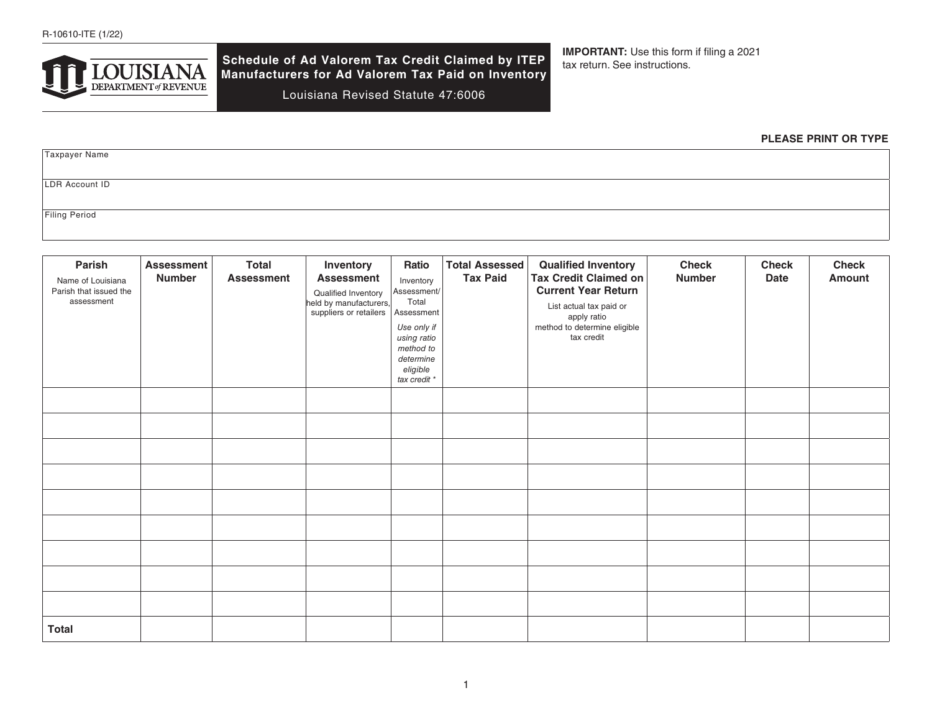

**Schedule of Ad Valorem Tax Credit Claimed by ITEP Manufacturers for Ad Valorem Tax Paid on Inventory** 

Louisiana Revised Statute 47:6006

**IMPORTANT:** Use this form if filing a 2021 tax return. See instructions.

### **PLEASE PRINT OR TYPE**

Taxpayer Name LDR Account ID

Filing Period

| Parish<br>Name of Louisiana<br>Parish that issued the<br>assessment | <b>Assessment</b><br><b>Number</b> | <b>Total</b><br><b>Assessment</b> | Inventory<br><b>Assessment</b><br>Qualified Inventory<br>held by manufacturers,<br>suppliers or retailers | Ratio<br>Inventory<br>Assessment/<br>Total<br>Assessment<br>Use only if<br>using ratio<br>method to<br>determine<br>eligible<br>tax credit * | <b>Total Assessed</b><br><b>Tax Paid</b> | <b>Qualified Inventory</b><br><b>Tax Credit Claimed on</b><br><b>Current Year Return</b><br>List actual tax paid or<br>apply ratio<br>method to determine eligible<br>tax credit | <b>Check</b><br><b>Number</b> | <b>Check</b><br><b>Date</b> | <b>Check</b><br><b>Amount</b> |
|---------------------------------------------------------------------|------------------------------------|-----------------------------------|-----------------------------------------------------------------------------------------------------------|----------------------------------------------------------------------------------------------------------------------------------------------|------------------------------------------|----------------------------------------------------------------------------------------------------------------------------------------------------------------------------------|-------------------------------|-----------------------------|-------------------------------|
|                                                                     |                                    |                                   |                                                                                                           |                                                                                                                                              |                                          |                                                                                                                                                                                  |                               |                             |                               |
|                                                                     |                                    |                                   |                                                                                                           |                                                                                                                                              |                                          |                                                                                                                                                                                  |                               |                             |                               |
|                                                                     |                                    |                                   |                                                                                                           |                                                                                                                                              |                                          |                                                                                                                                                                                  |                               |                             |                               |
|                                                                     |                                    |                                   |                                                                                                           |                                                                                                                                              |                                          |                                                                                                                                                                                  |                               |                             |                               |
|                                                                     |                                    |                                   |                                                                                                           |                                                                                                                                              |                                          |                                                                                                                                                                                  |                               |                             |                               |
|                                                                     |                                    |                                   |                                                                                                           |                                                                                                                                              |                                          |                                                                                                                                                                                  |                               |                             |                               |
|                                                                     |                                    |                                   |                                                                                                           |                                                                                                                                              |                                          |                                                                                                                                                                                  |                               |                             |                               |
|                                                                     |                                    |                                   |                                                                                                           |                                                                                                                                              |                                          |                                                                                                                                                                                  |                               |                             |                               |
|                                                                     |                                    |                                   |                                                                                                           |                                                                                                                                              |                                          |                                                                                                                                                                                  |                               |                             |                               |
| <b>Total</b>                                                        |                                    |                                   |                                                                                                           |                                                                                                                                              |                                          |                                                                                                                                                                                  |                               |                             |                               |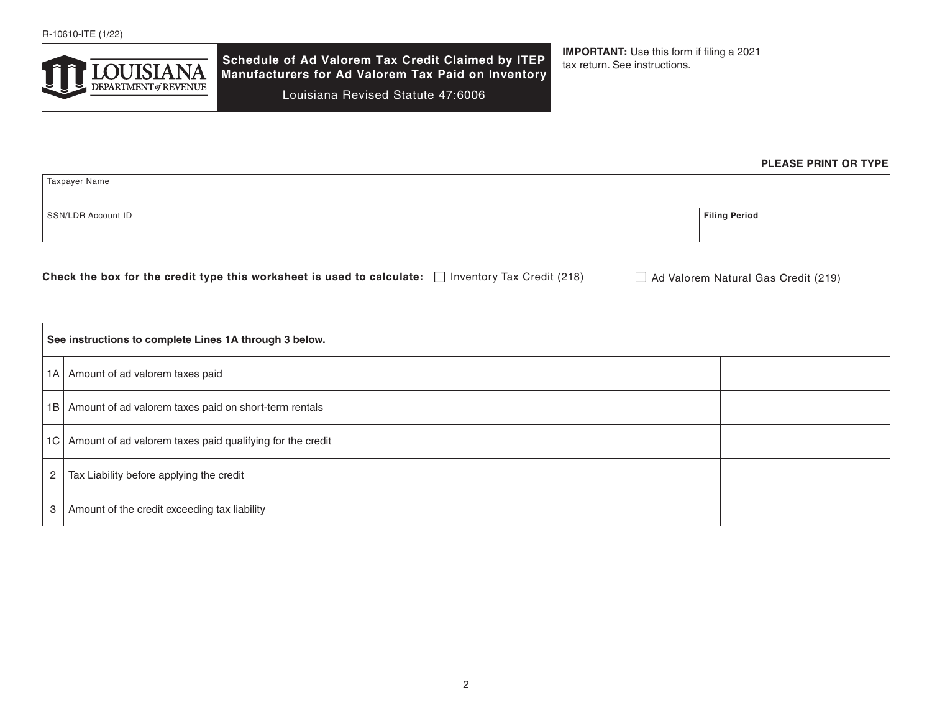

**Schedule of Ad Valorem Tax Credit Claimed by ITEP Manufacturers for Ad Valorem Tax Paid on Inventory**  Louisiana Revised Statute 47:6006

**IMPORTANT:** Use this form if filing a 2021 tax return. See instructions.

# **PLEASE PRINT OR TYPE**

| Taxpayer Name      |                      |
|--------------------|----------------------|
| SSN/LDR Account ID | <b>Filing Period</b> |
|                    |                      |

| Check the box for the credit type this worksheet is used to calculate: $\Box$ | $\Box$ Inventory Tax Credit (218) | $\Box$ Ad Valorem Natural Gas Credit (219) |
|-------------------------------------------------------------------------------|-----------------------------------|--------------------------------------------|
|-------------------------------------------------------------------------------|-----------------------------------|--------------------------------------------|

|                      | See instructions to complete Lines 1A through 3 below.         |  |  |  |  |
|----------------------|----------------------------------------------------------------|--|--|--|--|
|                      | 1A   Amount of ad valorem taxes paid                           |  |  |  |  |
|                      | 1B   Amount of ad valorem taxes paid on short-term rentals     |  |  |  |  |
|                      | 1C   Amount of ad valorem taxes paid qualifying for the credit |  |  |  |  |
| $\mathbf{2}^{\circ}$ | Tax Liability before applying the credit                       |  |  |  |  |
| 3                    | Amount of the credit exceeding tax liability                   |  |  |  |  |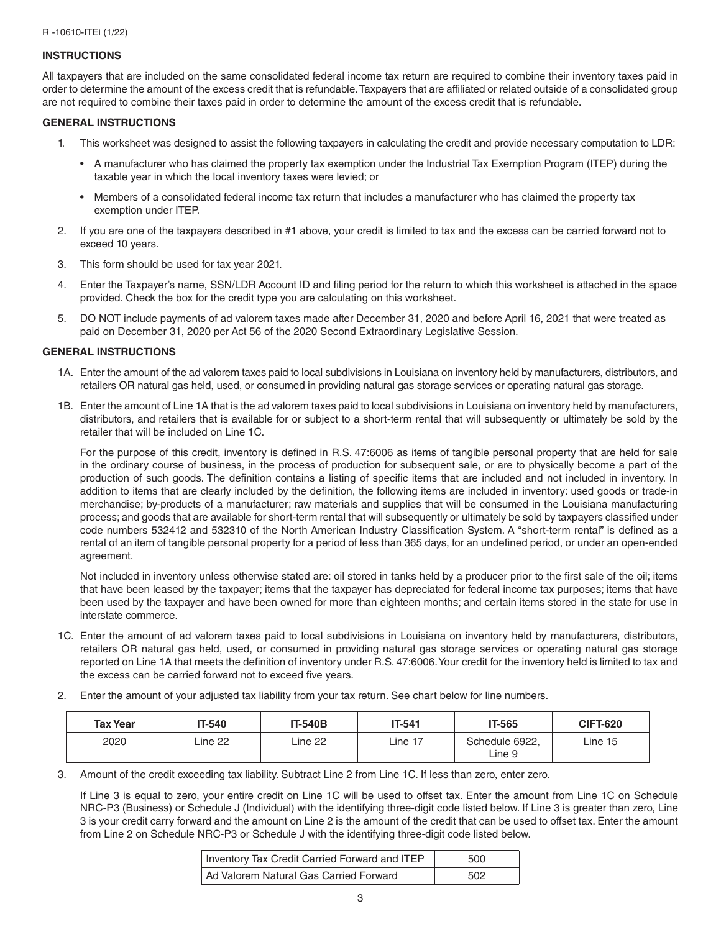## **INSTRUCTIONS**

All taxpayers that are included on the same consolidated federal income tax return are required to combine their inventory taxes paid in order to determine the amount of the excess credit that is refundable. Taxpayers that are affiliated or related outside of a consolidated group are not required to combine their taxes paid in order to determine the amount of the excess credit that is refundable.

### **GENERAL INSTRUCTIONS**

- 1. This worksheet was designed to assist the following taxpayers in calculating the credit and provide necessary computation to LDR:
	- A manufacturer who has claimed the property tax exemption under the Industrial Tax Exemption Program (ITEP) during the taxable year in which the local inventory taxes were levied; or
	- Members of a consolidated federal income tax return that includes a manufacturer who has claimed the property tax exemption under ITEP.
- 2. If you are one of the taxpayers described in #1 above, your credit is limited to tax and the excess can be carried forward not to exceed 10 years.
- 3. This form should be used for tax year 2021.
- 4. Enter the Taxpayer's name, SSN/LDR Account ID and filing period for the return to which this worksheet is attached in the space provided. Check the box for the credit type you are calculating on this worksheet.
- 5. DO NOT include payments of ad valorem taxes made after December 31, 2020 and before April 16, 2021 that were treated as paid on December 31, 2020 per Act 56 of the 2020 Second Extraordinary Legislative Session.

#### **GENERAL INSTRUCTIONS**

- 1A. Enter the amount of the ad valorem taxes paid to local subdivisions in Louisiana on inventory held by manufacturers, distributors, and retailers OR natural gas held, used, or consumed in providing natural gas storage services or operating natural gas storage.
- 1B. Enter the amount of Line 1A that is the ad valorem taxes paid to local subdivisions in Louisiana on inventory held by manufacturers, distributors, and retailers that is available for or subject to a short-term rental that will subsequently or ultimately be sold by the retailer that will be included on Line 1C.

For the purpose of this credit, inventory is defined in R.S. 47:6006 as items of tangible personal property that are held for sale in the ordinary course of business, in the process of production for subsequent sale, or are to physically become a part of the production of such goods. The definition contains a listing of specific items that are included and not included in inventory. In addition to items that are clearly included by the definition, the following items are included in inventory: used goods or trade-in merchandise; by-products of a manufacturer; raw materials and supplies that will be consumed in the Louisiana manufacturing process; and goods that are available for short-term rental that will subsequently or ultimately be sold by taxpayers classified under code numbers 532412 and 532310 of the North American Industry Classification System. A "short-term rental" is defined as a rental of an item of tangible personal property for a period of less than 365 days, for an undefined period, or under an open-ended agreement.

Not included in inventory unless otherwise stated are: oil stored in tanks held by a producer prior to the first sale of the oil; items that have been leased by the taxpayer; items that the taxpayer has depreciated for federal income tax purposes; items that have been used by the taxpayer and have been owned for more than eighteen months; and certain items stored in the state for use in interstate commerce.

- 1C. Enter the amount of ad valorem taxes paid to local subdivisions in Louisiana on inventory held by manufacturers, distributors, retailers OR natural gas held, used, or consumed in providing natural gas storage services or operating natural gas storage reported on Line 1A that meets the definition of inventory under R.S. 47:6006. Your credit for the inventory held is limited to tax and the excess can be carried forward not to exceed five years.
- 2. Enter the amount of your adjusted tax liability from your tax return. See chart below for line numbers.

| <b>Tax Year</b> | IT-540  | <b>IT-540B</b> | IT-541  | <b>IT-565</b>            | <b>CIFT-620</b> |
|-----------------|---------|----------------|---------|--------------------------|-----------------|
| 2020            | Line 22 | Line 22        | ∟ine 17 | Schedule 6922,<br>∟ine 9 | Line 15         |

3. Amount of the credit exceeding tax liability. Subtract Line 2 from Line 1C. If less than zero, enter zero.

If Line 3 is equal to zero, your entire credit on Line 1C will be used to offset tax. Enter the amount from Line 1C on Schedule NRC-P3 (Business) or Schedule J (Individual) with the identifying three-digit code listed below. If Line 3 is greater than zero, Line 3 is your credit carry forward and the amount on Line 2 is the amount of the credit that can be used to offset tax. Enter the amount from Line 2 on Schedule NRC-P3 or Schedule J with the identifying three-digit code listed below.

| Inventory Tax Credit Carried Forward and ITEP | 500 |
|-----------------------------------------------|-----|
| Ad Valorem Natural Gas Carried Forward        | 502 |